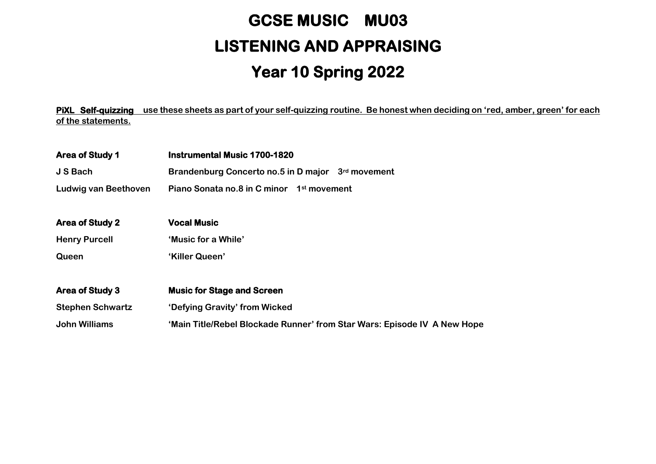## **GCSE MUSIC MU03 LISTENING AND APPRAISING Year 10 Spring 2022**

**PiXL Self-quizzing use these sheets as part of your self-quizzing routine. Be honest when deciding on 'red, amber, green' for each of the statements.**

| Area of Study 1         | <b>Instrumental Music 1700-1820</b>                                      |
|-------------------------|--------------------------------------------------------------------------|
| J S Bach                | Brandenburg Concerto no.5 in D major 3rd movement                        |
| Ludwig van Beethoven    | Piano Sonata no.8 in C minor 1st movement                                |
|                         |                                                                          |
| <b>Area of Study 2</b>  | <b>Vocal Music</b>                                                       |
| <b>Henry Purcell</b>    | 'Music for a While'                                                      |
| Queen                   | 'Killer Queen'                                                           |
| Area of Study 3         | <b>Music for Stage and Screen</b>                                        |
| <b>Stephen Schwartz</b> | 'Defying Gravity' from Wicked                                            |
|                         |                                                                          |
| John Williams           | 'Main Title/Rebel Blockade Runner' from Star Wars: Episode IV A New Hope |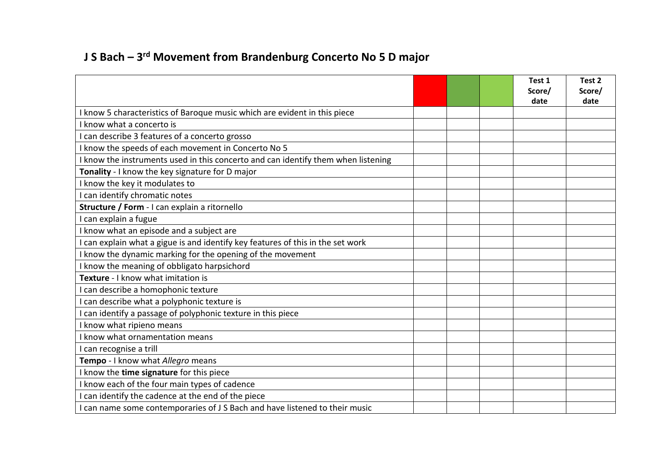## **J S Bach – 3 rd Movement from Brandenburg Concerto No 5 D major**

|                                                                                   |  | Test 1<br>Score/<br>date | Test 2<br>Score/<br>date |
|-----------------------------------------------------------------------------------|--|--------------------------|--------------------------|
| I know 5 characteristics of Baroque music which are evident in this piece         |  |                          |                          |
| I know what a concerto is                                                         |  |                          |                          |
| I can describe 3 features of a concerto grosso                                    |  |                          |                          |
| I know the speeds of each movement in Concerto No 5                               |  |                          |                          |
| I know the instruments used in this concerto and can identify them when listening |  |                          |                          |
| Tonality - I know the key signature for D major                                   |  |                          |                          |
| I know the key it modulates to                                                    |  |                          |                          |
| I can identify chromatic notes                                                    |  |                          |                          |
| Structure / Form - I can explain a ritornello                                     |  |                          |                          |
| I can explain a fugue                                                             |  |                          |                          |
| I know what an episode and a subject are                                          |  |                          |                          |
| I can explain what a gigue is and identify key features of this in the set work   |  |                          |                          |
| I know the dynamic marking for the opening of the movement                        |  |                          |                          |
| I know the meaning of obbligato harpsichord                                       |  |                          |                          |
| Texture - I know what imitation is                                                |  |                          |                          |
| I can describe a homophonic texture                                               |  |                          |                          |
| I can describe what a polyphonic texture is                                       |  |                          |                          |
| I can identify a passage of polyphonic texture in this piece                      |  |                          |                          |
| I know what ripieno means                                                         |  |                          |                          |
| I know what ornamentation means                                                   |  |                          |                          |
| I can recognise a trill                                                           |  |                          |                          |
| Tempo - I know what Allegro means                                                 |  |                          |                          |
| I know the time signature for this piece                                          |  |                          |                          |
| I know each of the four main types of cadence                                     |  |                          |                          |
| I can identify the cadence at the end of the piece                                |  |                          |                          |
| I can name some contemporaries of J S Bach and have listened to their music       |  |                          |                          |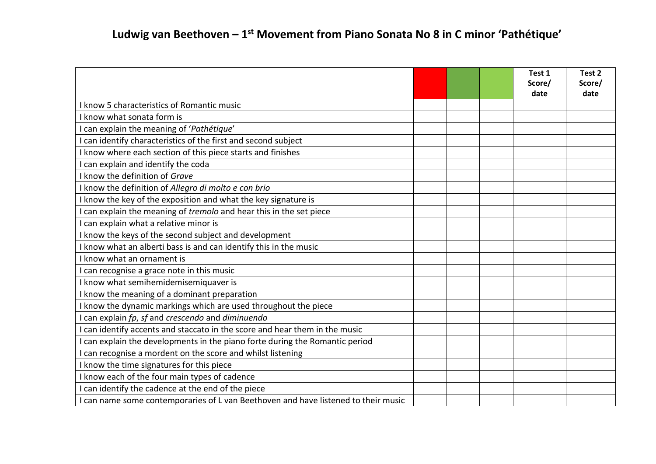|                                                                                    |  | Test 1<br>Score/<br>date | Test 2<br>Score/<br>date |
|------------------------------------------------------------------------------------|--|--------------------------|--------------------------|
| I know 5 characteristics of Romantic music                                         |  |                          |                          |
| I know what sonata form is                                                         |  |                          |                          |
| I can explain the meaning of 'Pathétique'                                          |  |                          |                          |
| I can identify characteristics of the first and second subject                     |  |                          |                          |
| I know where each section of this piece starts and finishes                        |  |                          |                          |
| I can explain and identify the coda                                                |  |                          |                          |
| I know the definition of Grave                                                     |  |                          |                          |
| I know the definition of Allegro di molto e con brio                               |  |                          |                          |
| I know the key of the exposition and what the key signature is                     |  |                          |                          |
| I can explain the meaning of tremolo and hear this in the set piece                |  |                          |                          |
| I can explain what a relative minor is                                             |  |                          |                          |
| I know the keys of the second subject and development                              |  |                          |                          |
| I know what an alberti bass is and can identify this in the music                  |  |                          |                          |
| I know what an ornament is                                                         |  |                          |                          |
| I can recognise a grace note in this music                                         |  |                          |                          |
| I know what semihemidemisemiquaver is                                              |  |                          |                          |
| I know the meaning of a dominant preparation                                       |  |                          |                          |
| I know the dynamic markings which are used throughout the piece                    |  |                          |                          |
| I can explain fp, sf and crescendo and diminuendo                                  |  |                          |                          |
| I can identify accents and staccato in the score and hear them in the music        |  |                          |                          |
| I can explain the developments in the piano forte during the Romantic period       |  |                          |                          |
| I can recognise a mordent on the score and whilst listening                        |  |                          |                          |
| I know the time signatures for this piece                                          |  |                          |                          |
| I know each of the four main types of cadence                                      |  |                          |                          |
| I can identify the cadence at the end of the piece                                 |  |                          |                          |
| I can name some contemporaries of L van Beethoven and have listened to their music |  |                          |                          |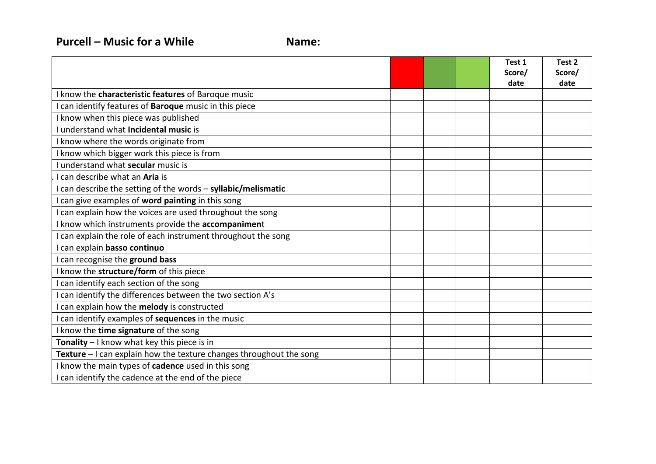|                                                                     |  | Test 1<br>Score/<br>date | Test 2<br>Score/<br>date |
|---------------------------------------------------------------------|--|--------------------------|--------------------------|
| I know the characteristic features of Baroque music                 |  |                          |                          |
| I can identify features of Baroque music in this piece              |  |                          |                          |
| I know when this piece was published                                |  |                          |                          |
| I understand what Incidental music is                               |  |                          |                          |
| I know where the words originate from                               |  |                          |                          |
| I know which bigger work this piece is from                         |  |                          |                          |
| I understand what secular music is                                  |  |                          |                          |
| I can describe what an Aria is                                      |  |                          |                          |
| I can describe the setting of the words - syllabic/melismatic       |  |                          |                          |
| I can give examples of word painting in this song                   |  |                          |                          |
| I can explain how the voices are used throughout the song           |  |                          |                          |
| I know which instruments provide the accompaniment                  |  |                          |                          |
| I can explain the role of each instrument throughout the song       |  |                          |                          |
| I can explain basso continuo                                        |  |                          |                          |
| I can recognise the ground bass                                     |  |                          |                          |
| I know the structure/form of this piece                             |  |                          |                          |
| I can identify each section of the song                             |  |                          |                          |
| I can identify the differences between the two section A's          |  |                          |                          |
| I can explain how the melody is constructed                         |  |                          |                          |
| I can identify examples of sequences in the music                   |  |                          |                          |
| I know the time signature of the song                               |  |                          |                          |
| Tonality - I know what key this piece is in                         |  |                          |                          |
| Texture - I can explain how the texture changes throughout the song |  |                          |                          |
| I know the main types of cadence used in this song                  |  |                          |                          |
| I can identify the cadence at the end of the piece                  |  |                          |                          |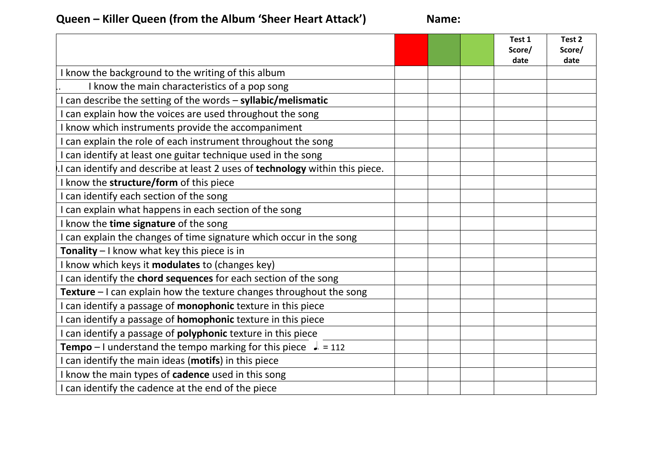## **Queen – Killer Queen (from the Album 'Sheer Heart Attack') Name:**

|                                                                               |  | Test 1<br>Score/ | Test 2<br>Score/ |
|-------------------------------------------------------------------------------|--|------------------|------------------|
|                                                                               |  | date             | date             |
| I know the background to the writing of this album                            |  |                  |                  |
| I know the main characteristics of a pop song                                 |  |                  |                  |
| I can describe the setting of the words - syllabic/melismatic                 |  |                  |                  |
| I can explain how the voices are used throughout the song                     |  |                  |                  |
| I know which instruments provide the accompaniment                            |  |                  |                  |
| I can explain the role of each instrument throughout the song                 |  |                  |                  |
| I can identify at least one guitar technique used in the song                 |  |                  |                  |
| I can identify and describe at least 2 uses of technology within this piece.  |  |                  |                  |
| I know the structure/form of this piece                                       |  |                  |                  |
| I can identify each section of the song                                       |  |                  |                  |
| I can explain what happens in each section of the song                        |  |                  |                  |
| I know the time signature of the song                                         |  |                  |                  |
| I can explain the changes of time signature which occur in the song           |  |                  |                  |
| Tonality - I know what key this piece is in                                   |  |                  |                  |
| I know which keys it modulates to (changes key)                               |  |                  |                  |
| I can identify the chord sequences for each section of the song               |  |                  |                  |
| <b>Texture</b> $-1$ can explain how the texture changes throughout the song   |  |                  |                  |
| I can identify a passage of monophonic texture in this piece                  |  |                  |                  |
| I can identify a passage of <b>homophonic</b> texture in this piece           |  |                  |                  |
| I can identify a passage of polyphonic texture in this piece                  |  |                  |                  |
| <b>Tempo</b> – I understand the tempo marking for this piece $\sqrt{ }$ = 112 |  |                  |                  |
| I can identify the main ideas (motifs) in this piece                          |  |                  |                  |
| I know the main types of cadence used in this song                            |  |                  |                  |
| I can identify the cadence at the end of the piece                            |  |                  |                  |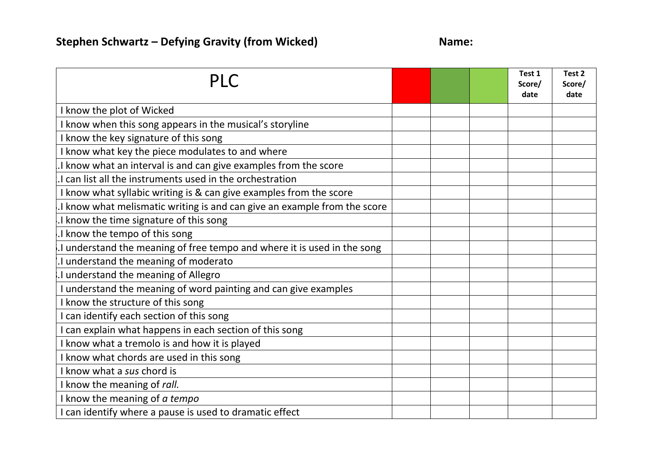| <b>PLC</b>                                                               |  | Test 1<br>Score/<br>date | Test 2<br>Score/<br>date |
|--------------------------------------------------------------------------|--|--------------------------|--------------------------|
| I know the plot of Wicked                                                |  |                          |                          |
| I know when this song appears in the musical's storyline                 |  |                          |                          |
| I know the key signature of this song                                    |  |                          |                          |
| I know what key the piece modulates to and where                         |  |                          |                          |
| I know what an interval is and can give examples from the score          |  |                          |                          |
| I can list all the instruments used in the orchestration                 |  |                          |                          |
| I know what syllabic writing is & can give examples from the score       |  |                          |                          |
| I know what melismatic writing is and can give an example from the score |  |                          |                          |
| I know the time signature of this song                                   |  |                          |                          |
| I know the tempo of this song                                            |  |                          |                          |
| I understand the meaning of free tempo and where it is used in the song  |  |                          |                          |
| I understand the meaning of moderato                                     |  |                          |                          |
| I understand the meaning of Allegro                                      |  |                          |                          |
| I understand the meaning of word painting and can give examples          |  |                          |                          |
| I know the structure of this song                                        |  |                          |                          |
| I can identify each section of this song                                 |  |                          |                          |
| I can explain what happens in each section of this song                  |  |                          |                          |
| I know what a tremolo is and how it is played                            |  |                          |                          |
| I know what chords are used in this song                                 |  |                          |                          |
| I know what a sus chord is                                               |  |                          |                          |
| I know the meaning of rall.                                              |  |                          |                          |
| I know the meaning of a tempo                                            |  |                          |                          |
| I can identify where a pause is used to dramatic effect                  |  |                          |                          |